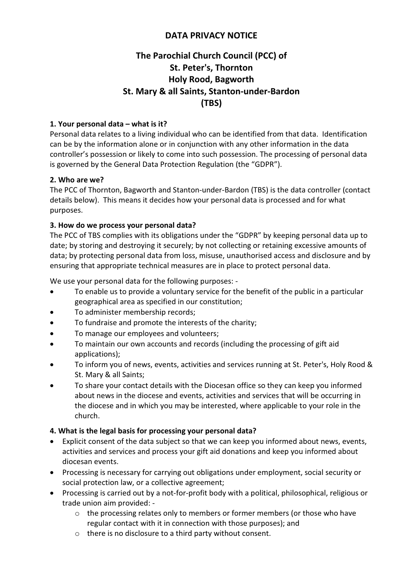## DATA PRIVACY NOTICE

# The Parochial Church Council (PCC) of St. Peter's, Thornton Holy Rood, Bagworth St. Mary & all Saints, Stanton-under-Bardon (TBS)

## 1. Your personal data – what is it?

Personal data relates to a living individual who can be identified from that data. Identification can be by the information alone or in conjunction with any other information in the data controller's possession or likely to come into such possession. The processing of personal data is governed by the General Data Protection Regulation (the "GDPR").

## 2. Who are we?

The PCC of Thornton, Bagworth and Stanton-under-Bardon (TBS) is the data controller (contact details below). This means it decides how your personal data is processed and for what purposes.

## 3. How do we process your personal data?

The PCC of TBS complies with its obligations under the "GDPR" by keeping personal data up to date; by storing and destroying it securely; by not collecting or retaining excessive amounts of data; by protecting personal data from loss, misuse, unauthorised access and disclosure and by ensuring that appropriate technical measures are in place to protect personal data.

We use your personal data for the following purposes: -

- To enable us to provide a voluntary service for the benefit of the public in a particular geographical area as specified in our constitution;
- To administer membership records;
- To fundraise and promote the interests of the charity;
- To manage our employees and volunteers;
- To maintain our own accounts and records (including the processing of gift aid applications);
- To inform you of news, events, activities and services running at St. Peter's, Holy Rood & St. Mary & all Saints;
- To share your contact details with the Diocesan office so they can keep you informed about news in the diocese and events, activities and services that will be occurring in the diocese and in which you may be interested, where applicable to your role in the church.

## 4. What is the legal basis for processing your personal data?

- Explicit consent of the data subject so that we can keep you informed about news, events, activities and services and process your gift aid donations and keep you informed about diocesan events.
- Processing is necessary for carrying out obligations under employment, social security or social protection law, or a collective agreement;
- Processing is carried out by a not-for-profit body with a political, philosophical, religious or trade union aim provided:
	- o the processing relates only to members or former members (or those who have regular contact with it in connection with those purposes); and
	- o there is no disclosure to a third party without consent.